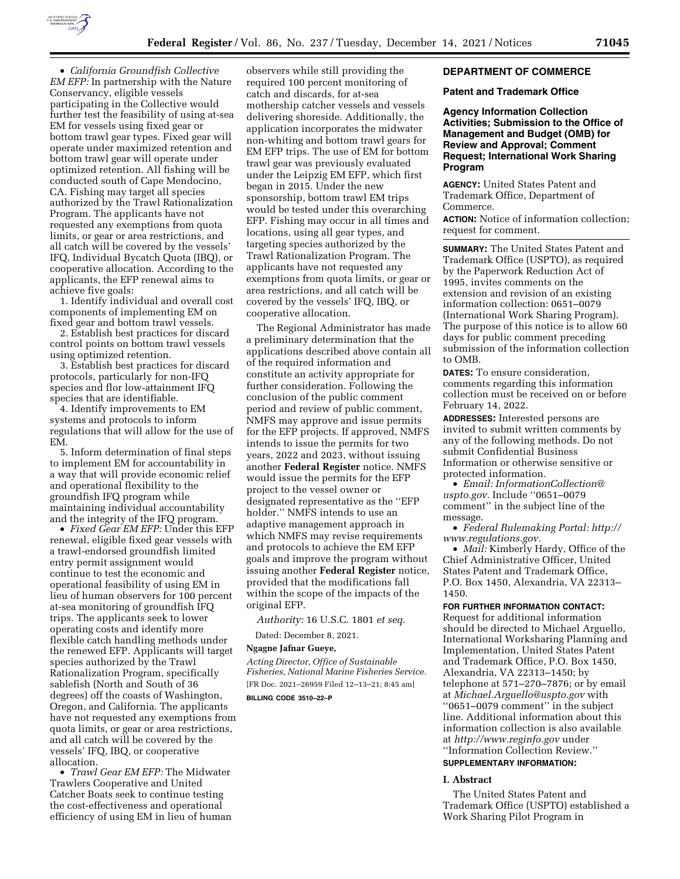

• *California Groundfish Collective EM EFP:* In partnership with the Nature Conservancy, eligible vessels participating in the Collective would further test the feasibility of using at-sea EM for vessels using fixed gear or bottom trawl gear types. Fixed gear will operate under maximized retention and bottom trawl gear will operate under optimized retention. All fishing will be conducted south of Cape Mendocino, CA. Fishing may target all species authorized by the Trawl Rationalization Program. The applicants have not requested any exemptions from quota limits, or gear or area restrictions, and all catch will be covered by the vessels' IFQ, Individual Bycatch Quota (IBQ), or cooperative allocation. According to the applicants, the EFP renewal aims to achieve five goals:

1. Identify individual and overall cost components of implementing EM on fixed gear and bottom trawl vessels.

2. Establish best practices for discard control points on bottom trawl vessels using optimized retention.

3. Establish best practices for discard protocols, particularly for non-IFQ species and flor low-attainment IFQ species that are identifiable.

4. Identify improvements to EM systems and protocols to inform regulations that will allow for the use of EM.

5. Inform determination of final steps to implement EM for accountability in a way that will provide economic relief and operational flexibility to the groundfish IFQ program while maintaining individual accountability and the integrity of the IFQ program.

• *Fixed Gear EM EFP:* Under this EFP renewal, eligible fixed gear vessels with a trawl-endorsed groundfish limited entry permit assignment would continue to test the economic and operational feasibility of using EM in lieu of human observers for 100 percent at-sea monitoring of groundfish IFQ trips. The applicants seek to lower operating costs and identify more flexible catch handling methods under the renewed EFP. Applicants will target species authorized by the Trawl Rationalization Program, specifically sablefish (North and South of 36 degrees) off the coasts of Washington, Oregon, and California. The applicants have not requested any exemptions from quota limits, or gear or area restrictions, and all catch will be covered by the vessels' IFQ, IBQ, or cooperative allocation.

• *Trawl Gear EM EFP:* The Midwater Trawlers Cooperative and United Catcher Boats seek to continue testing the cost-effectiveness and operational efficiency of using EM in lieu of human

observers while still providing the required 100 percent monitoring of catch and discards, for at-sea mothership catcher vessels and vessels delivering shoreside. Additionally, the application incorporates the midwater non-whiting and bottom trawl gears for EM EFP trips. The use of EM for bottom trawl gear was previously evaluated under the Leipzig EM EFP, which first began in 2015. Under the new sponsorship, bottom trawl EM trips would be tested under this overarching EFP. Fishing may occur in all times and locations, using all gear types, and targeting species authorized by the Trawl Rationalization Program. The applicants have not requested any exemptions from quota limits, or gear or area restrictions, and all catch will be covered by the vessels' IFQ, IBQ, or cooperative allocation.

The Regional Administrator has made a preliminary determination that the applications described above contain all of the required information and constitute an activity appropriate for further consideration. Following the conclusion of the public comment period and review of public comment, NMFS may approve and issue permits for the EFP projects. If approved, NMFS intends to issue the permits for two years, 2022 and 2023, without issuing another **Federal Register** notice. NMFS would issue the permits for the EFP project to the vessel owner or designated representative as the ''EFP holder.'' NMFS intends to use an adaptive management approach in which NMFS may revise requirements and protocols to achieve the EM EFP goals and improve the program without issuing another **Federal Register** notice, provided that the modifications fall within the scope of the impacts of the original EFP.

*Authority:* 16 U.S.C. 1801 *et seq.* 

Dated: December 8, 2021.

# **Ngagne Jafnar Gueye,**

*Acting Director, Office of Sustainable Fisheries, National Marine Fisheries Service.*  [FR Doc. 2021–26959 Filed 12–13–21; 8:45 am] **BILLING CODE 3510–22–P** 

### **DEPARTMENT OF COMMERCE**

### **Patent and Trademark Office**

**Agency Information Collection Activities; Submission to the Office of Management and Budget (OMB) for Review and Approval; Comment Request; International Work Sharing Program** 

**AGENCY:** United States Patent and Trademark Office, Department of Commerce.

**ACTION:** Notice of information collection; request for comment.

**SUMMARY:** The United States Patent and Trademark Office (USPTO), as required by the Paperwork Reduction Act of 1995, invites comments on the extension and revision of an existing information collection: 0651–0079 (International Work Sharing Program). The purpose of this notice is to allow 60 days for public comment preceding submission of the information collection to OMB.

**DATES:** To ensure consideration, comments regarding this information collection must be received on or before February 14, 2022.

**ADDRESSES:** Interested persons are invited to submit written comments by any of the following methods. Do not submit Confidential Business Information or otherwise sensitive or protected information.

• *Email: [InformationCollection@](mailto:InformationCollection@uspto.gov) [uspto.gov.](mailto:InformationCollection@uspto.gov)* Include ''0651–0079 comment'' in the subject line of the message.

• *Federal Rulemaking Portal: [http://](http://www.regulations.gov) [www.regulations.gov.](http://www.regulations.gov)* 

• *Mail:* Kimberly Hardy, Office of the Chief Administrative Officer, United States Patent and Trademark Office, P.O. Box 1450, Alexandria, VA 22313– 1450.

### **FOR FURTHER INFORMATION CONTACT:**

Request for additional information should be directed to Michael Arguello, International Worksharing Planning and Implementation, United States Patent and Trademark Office, P.O. Box 1450, Alexandria, VA 22313–1450; by telephone at 571–270–7876; or by email at *[Michael.Arguello@uspto.gov](mailto:Michael.Arguello@uspto.gov)* with ''0651–0079 comment'' in the subject line. Additional information about this information collection is also available at *<http://www.reginfo.gov>*under ''Information Collection Review.''

# **SUPPLEMENTARY INFORMATION:**

### **I. Abstract**

The United States Patent and Trademark Office (USPTO) established a Work Sharing Pilot Program in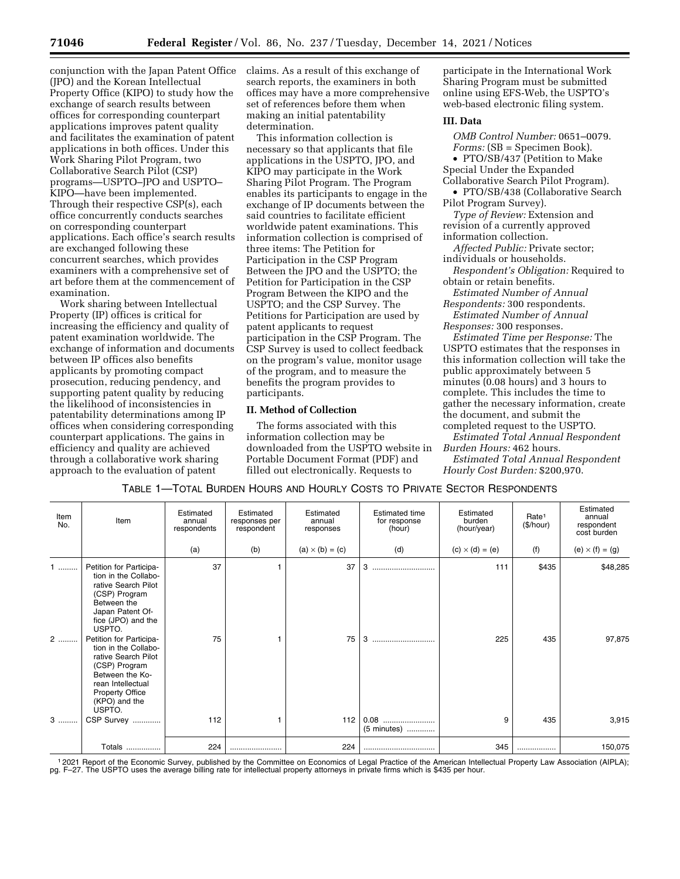conjunction with the Japan Patent Office (JPO) and the Korean Intellectual Property Office (KIPO) to study how the exchange of search results between offices for corresponding counterpart applications improves patent quality and facilitates the examination of patent applications in both offices. Under this Work Sharing Pilot Program, two Collaborative Search Pilot (CSP) programs—USPTO–JPO and USPTO– KIPO—have been implemented. Through their respective CSP(s), each office concurrently conducts searches on corresponding counterpart applications. Each office's search results are exchanged following these concurrent searches, which provides examiners with a comprehensive set of art before them at the commencement of examination.

Work sharing between Intellectual Property (IP) offices is critical for increasing the efficiency and quality of patent examination worldwide. The exchange of information and documents between IP offices also benefits applicants by promoting compact prosecution, reducing pendency, and supporting patent quality by reducing the likelihood of inconsistencies in patentability determinations among IP offices when considering corresponding counterpart applications. The gains in efficiency and quality are achieved through a collaborative work sharing approach to the evaluation of patent

claims. As a result of this exchange of search reports, the examiners in both offices may have a more comprehensive set of references before them when making an initial patentability determination.

This information collection is necessary so that applicants that file applications in the USPTO, JPO, and KIPO may participate in the Work Sharing Pilot Program. The Program enables its participants to engage in the exchange of IP documents between the said countries to facilitate efficient worldwide patent examinations. This information collection is comprised of three items: The Petition for Participation in the CSP Program Between the JPO and the USPTO; the Petition for Participation in the CSP Program Between the KIPO and the USPTO; and the CSP Survey. The Petitions for Participation are used by patent applicants to request participation in the CSP Program. The CSP Survey is used to collect feedback on the program's value, monitor usage of the program, and to measure the benefits the program provides to participants.

# **II. Method of Collection**

The forms associated with this information collection may be downloaded from the USPTO website in Portable Document Format (PDF) and filled out electronically. Requests to

participate in the International Work Sharing Program must be submitted online using EFS-Web, the USPTO's web-based electronic filing system.

### **III. Data**

*OMB Control Number:* 0651–0079. *Forms:* (SB = Specimen Book). • PTO/SB/437 (Petition to Make

- Special Under the Expanded Collaborative Search Pilot Program).
- PTO/SB/438 (Collaborative Search Pilot Program Survey).

*Type of Review:* Extension and revision of a currently approved

information collection.

*Affected Public:* Private sector; individuals or households.

*Respondent's Obligation:* Required to obtain or retain benefits.

*Estimated Number of Annual Respondents:* 300 respondents.

*Estimated Number of Annual Responses:* 300 responses.

*Estimated Time per Response:* The USPTO estimates that the responses in this information collection will take the public approximately between 5 minutes (0.08 hours) and 3 hours to complete. This includes the time to gather the necessary information, create the document, and submit the completed request to the USPTO.

*Estimated Total Annual Respondent Burden Hours:* 462 hours.

*Estimated Total Annual Respondent Hourly Cost Burden:* \$200,970.

| Item<br>No. | Item                                                                                                                                                                                 | Estimated<br>annual<br>respondents | Estimated<br>responses per<br>respondent | Estimated<br>annual<br>responses | <b>Estimated time</b><br>for response<br>(hour) | Estimated<br>burden<br>(hour/year) | Rate <sup>1</sup><br>(\$/hour) | Estimated<br>annual<br>respondent<br>cost burden |
|-------------|--------------------------------------------------------------------------------------------------------------------------------------------------------------------------------------|------------------------------------|------------------------------------------|----------------------------------|-------------------------------------------------|------------------------------------|--------------------------------|--------------------------------------------------|
|             |                                                                                                                                                                                      | (a)                                | (b)                                      | $(a) \times (b) = (c)$           | (d)                                             | $(c) \times (d) = (e)$             | (f)                            | (e) $\times$ (f) = (g)                           |
| $1$         | Petition for Participa-<br>tion in the Collabo-<br>rative Search Pilot<br>(CSP) Program<br>Between the<br>Japan Patent Of-<br>fice (JPO) and the<br>USPTO.                           | 37                                 |                                          | 37                               | 3                                               | 111                                | \$435                          | \$48,285                                         |
| $2$         | Petition for Participa-<br>tion in the Collabo-<br>rative Search Pilot<br>(CSP) Program<br>Between the Ko-<br>rean Intellectual<br><b>Property Office</b><br>(KPO) and the<br>USPTO. | 75                                 |                                          | 75                               | 3                                               | 225                                | 435                            | 97,875                                           |
| $3$         | CSP Survey                                                                                                                                                                           | 112                                |                                          | 112                              | (5 minutes)                                     | 9                                  | 435                            | 3,915                                            |
|             | Totals                                                                                                                                                                               | 224                                |                                          | 224                              |                                                 | 345                                |                                | 150,075                                          |

# TABLE 1—TOTAL BURDEN HOURS AND HOURLY COSTS TO PRIVATE SECTOR RESPONDENTS

<sup>1</sup> 2021 Report of the Economic Survey, published by the Committee on Economics of Legal Practice of the American Intellectual Property Law Association (AIPLA);<br>pg. F–27. The USPTO uses the average billing rate for intelle